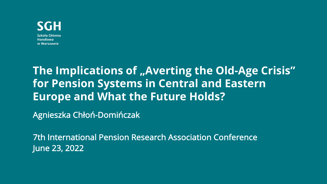

**Handlowa** w Warszawie

### **The Implications of "Averting the Old-Age Crisis" for Pension Systems in Central and Eastern Europe and What the Future Holds?**

Agnieszka Chłoń-Domińczak

7th International Pension Research Association Conference June 23, 2022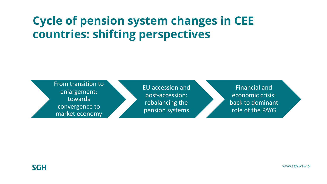### **Cycle of pension system changes in CEE countries: shifting perspectives**

From transition to enlargement: towards convergence to market economy

EU accession and post-accession: rebalancing the pension systems

Financial and economic crisis: back to dominant role of the PAYG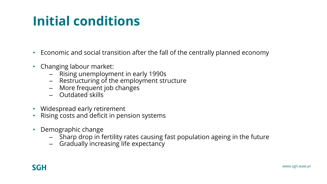# **Initial conditions**

- Economic and social transition after the fall of the centrally planned economy
- Changing labour market:
	- Rising unemployment in early 1990s
	- Restructuring of the employment structure
	- More frequent job changes
	- Outdated skills
- Widespread early retirement
- Rising costs and deficit in pension systems
- Demographic change
	- Sharp drop in fertility rates causing fast population ageing in the future
	- Gradually increasing life expectancy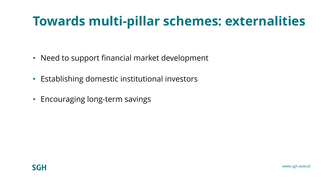## **Towards multi-pillar schemes: externalities**

- Need to support financial market development
- Establishing domestic institutional investors
- Encouraging long-term savings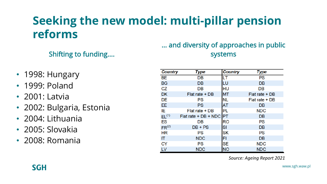### **Seeking the new model: multi-pillar pension reforms**

### Shifting to funding….

- 1998: Hungary
- 1999: Poland
- 2001: Latvia
- 2002: Bulgaria, Estonia
- 2004: Lithuania
- 2005: Slovakia
- 2008: Romania

### … and diversity of approaches in public systems

| <b>Country</b>    | Type                    | <b>Country</b> | Type           |  |  |  |  |
|-------------------|-------------------------|----------------|----------------|--|--|--|--|
| BE.               | DB                      | LТ             | <b>PS</b>      |  |  |  |  |
| BG                | DB                      | LU             | DB             |  |  |  |  |
| CZ.               | DB                      | HU             | DB             |  |  |  |  |
| <b>DK</b>         | Flat rate + DB          | <b>MT</b>      | Flat rate + DB |  |  |  |  |
| <b>DE</b>         | PS                      | <b>NL</b>      | Flat rate + DB |  |  |  |  |
| EE                | PS                      | <b>AT</b>      | DB             |  |  |  |  |
| IE.               | Flat rate + DB          | PL             | <b>NDC</b>     |  |  |  |  |
| $EL^{(1)}$        | Flat rate + DB + NDC PT |                | DB             |  |  |  |  |
| <b>ES</b>         | DB                      | RO             | PS             |  |  |  |  |
| FR <sup>(2)</sup> | $DB + PS$               | SI             | DB             |  |  |  |  |
| <b>HR</b>         | <b>PS</b>               | <b>SK</b>      | PS             |  |  |  |  |
| IT.               | <b>NDC</b>              | FI             | DB             |  |  |  |  |
| CY                | PS                      | SE             | <b>NDC</b>     |  |  |  |  |
| LV                | <b>NDC</b>              | <b>NO</b>      | <b>NDC</b>     |  |  |  |  |

*Source: Ageing Report 2021*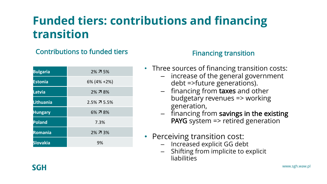### **Funded tiers: contributions and financing transition**

### Contributions to funded tiers **Financing transition**

| <b>Bulgaria</b> | 2% 7 5%        |
|-----------------|----------------|
| <b>Estonia</b>  | $6\%$ (4% +2%) |
| Latvia          | 2% 7 8%        |
| Lithuania       | 2.5% 7 5.5%    |
| <b>Hungary</b>  | 6% 7 8%        |
| <b>Poland</b>   | 7.3%           |
| <b>Romania</b>  | 2% 7 3%        |
| <b>Slovakia</b> | 9%             |

- Three sources of financing transition costs:
	- increase of the general government debt =>future generations).
	- financing from taxes and other budgetary revenues => working generation,
	- financing from savings in the existing PAYG system => retired generation
- Perceiving transition cost:
	- Increased explicit GG debt
	- Shifting from implicite to explicit liabilities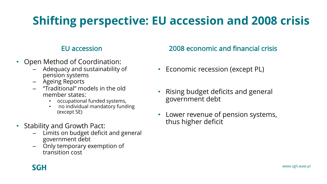### **Shifting perspective: EU accession and 2008 crisis**

#### EU accession

- Open Method of Coordination:
	- Adequacy and sustainability of pension systems
	- Ageing Reports
	- "Traditional" models in the old member states:
		- occupational funded systems,
		- no individual mandatory funding (except SE)
- Stability and Growth Pact:
	- Limits on budget deficit and general government debt
	- Only temporary exemption of transition cost

### 2008 economic and financial crisis

- Economic recession (except PL)
- Rising budget deficits and general government debt
- Lower revenue of pension systems, thus higher deficit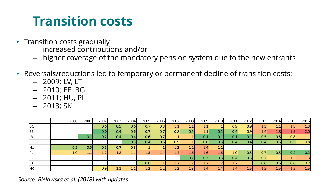### **Transition costs**

- Transition costs gradually
	- increased contributions and/or
	- higher coverage of the mandatory pension system due to the new entrants
- Reversals/reductions led to temporary or permanent decline of transition costs:
	- 2009: LV, LT
	- 2010: EE, BG
	- 2011: HU, PL
	- $-2013:SK$

|                | 2000             | 2001 | 2002 | 2003 | 2004             | 2005 | 2006          | 2007             | 2008          | 2009             | 2010 | 2011 | 2012             | 2013           | 2014          | 2015             | 2016 |
|----------------|------------------|------|------|------|------------------|------|---------------|------------------|---------------|------------------|------|------|------------------|----------------|---------------|------------------|------|
| ΒG             |                  |      | 0.6  | 0.5  | 0.6 <sub>1</sub> | 0.7  | 0.8           | 1.1              | 1.1           | 1.1              |      | 0.9  | 0.9              | 1.3            | 1.1           | 1.3              | 1.3  |
| EE             |                  |      | 0.01 | 0.4  | 0.6              | 0.7  | 0.7           | 0.8              | 0.5           | 1.1              | 0.1  | 0.4  | 0.9              | 1.4            | 1.8 I         | 1.9              | 2.0  |
| LV             |                  | 0.1  | 0.21 | 0.4  | 0.4              | 0.6  | 0.7           |                  | 1.1           | 0.1              | 0.1  | 0.1  | 0.1              | 0.5            | 0.5           | 0.8              | 1.1  |
| LT.            |                  |      |      |      | 0.3              | 0.41 | 0.6           | 0.9 <sub>1</sub> | 1.1           | 0.6              | 0.3  | 0.4  | 0.4              | 0.4            | 0.5           | 0.5              | 0.8  |
| HU             | 0.5              | 0.5  | 0.5  | 0.7  | 0.8              |      |               | 1.2              | 1.2           | 1.4              | 1.1  |      |                  |                |               |                  |      |
| PL             | 1.0 <sub>l</sub> | 1.1  | 1.2  | 1.2  | 1.1              | 1.3  | $1.4^{\circ}$ | 4.4 <sup>7</sup> | $4.6^{\circ}$ | 1.6              | 1.6  | 1.0  | 0.5              | 0.7            | 0.5           | 0.2              | 0.2  |
| R <sub>O</sub> |                  |      |      |      |                  |      |               |                  | 0.2           | 0.3 <sub>1</sub> | 0.3  | 0.41 | 0.5              | 0.7            |               | 1.2              | 1.3  |
| SK             |                  |      |      |      |                  | 0.6  | 1.1           | 1.2              | 1.2           | 1.2              | 1.2  | 1.2  | 1.1              | 0.6            | 0.6           | 0.6              | 0.7  |
| <b>HR</b>      |                  |      | 0.9  | 11   | 11               | 1. 2 | $1.2^{\circ}$ |                  | 1.3           | 1.4              | 1.4  | 1.4  | 4.5 <sup>r</sup> | $4.5^{\prime}$ | $4.5^{\circ}$ | 1.5 <sub>l</sub> | 1.5  |

*Source: Bielawska et al. (2018) with updates*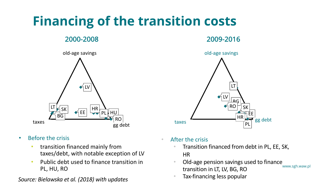# **Financing of the transition costs**





- Before the crisis
	- transition financed mainly from taxes/debt, with notable exception of LV
	- Public debt used to finance transition in PL, HU, RO

### • Tax-financing less popular *Source: Bielawska et al. (2018) with updates*



- After the crisis
	- Transition financed from debt in PL, EE, SK, HR
	- www.sgh.waw.pl • Old-age pension savings used to finance transition in LT, LV, BG, RO
	-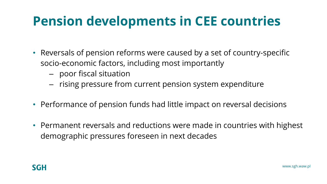# **Pension developments in CEE countries**

- Reversals of pension reforms were caused by a set of country-specific socio-economic factors, including most importantly
	- poor fiscal situation
	- rising pressure from current pension system expenditure
- Performance of pension funds had little impact on reversal decisions
- Permanent reversals and reductions were made in countries with highest demographic pressures foreseen in next decades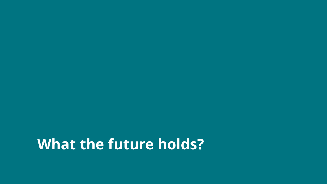# **What the future holds?**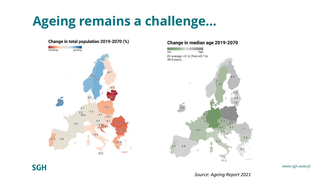## **Ageing remains a challenge…**

#### Change in total population 2019-2070 (%) shrinking arowing  $-8.7$ 25.9 27  $-18.7$  $4.1$  $3.3$ <br>28.3  $-1.6$  $-4.1$  $-13.3$  $4.4$  $-8.$  $-29.5$  $3.6$  $-6.9$  $-25.6$  $-27.9$  $-10.6$  $0.4$  $-17.5$ 489

#### Change in median age 2019-2070



**SGH** 

#### www.sgh.waw.pl

*Source: Ageing Report 2021*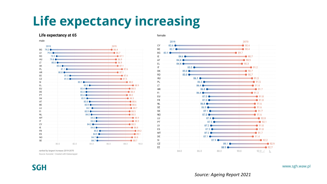### **Life expectancy increasing**

#### Life expectancy at 65

male







www.sgh.waw.pl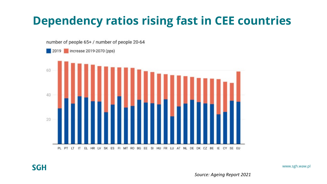### **Dependency ratios rising fast in CEE countries**



**SGH** 

www.sgh.waw.pl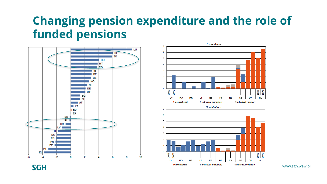### **Changing pension expenditure and the role of funded pensions**





www.sgh.waw.pl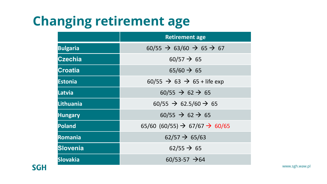# **Changing retirement age**

|                  | <b>Retirement age</b>                                   |  |  |  |  |  |
|------------------|---------------------------------------------------------|--|--|--|--|--|
| <b>Bulgaria</b>  | $60/55 \rightarrow 63/60 \rightarrow 65 \rightarrow 67$ |  |  |  |  |  |
| <b>Czechia</b>   | $60/57 \rightarrow 65$                                  |  |  |  |  |  |
| Croatia          | $65/60 \rightarrow 65$                                  |  |  |  |  |  |
| <b>Estonia</b>   | $60/55 \rightarrow 63 \rightarrow 65 +$ life exp        |  |  |  |  |  |
| <b>Latvia</b>    | $60/55 \rightarrow 62 \rightarrow 65$                   |  |  |  |  |  |
| <b>Lithuania</b> | $60/55 \rightarrow 62.5/60 \rightarrow 65$              |  |  |  |  |  |
| <b>Hungary</b>   | $60/55 \rightarrow 62 \rightarrow 65$                   |  |  |  |  |  |
| <b>Poland</b>    | 65/60 (60/55) $\rightarrow$ 67/67 $\rightarrow$ 60/65   |  |  |  |  |  |
| Romania          | $62/57 \rightarrow 65/63$                               |  |  |  |  |  |
| Slovenia         | $62/55 \rightarrow 65$                                  |  |  |  |  |  |
| <b>Slovakia</b>  | $60/53-57$ $\rightarrow$ 64                             |  |  |  |  |  |

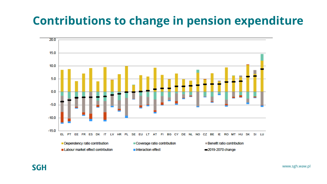### **Contributions to change in pension expenditure**